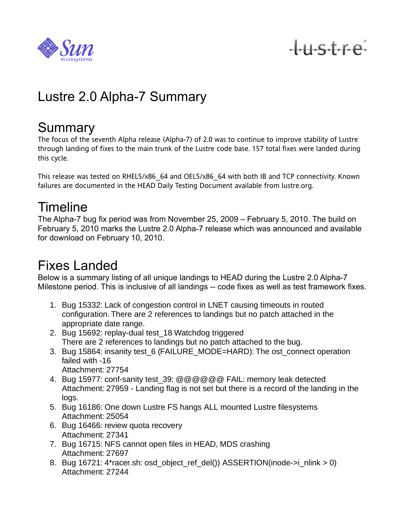

 $+$ ustre

# Lustre 2.0 Alpha-7 Summary

### Summary

The focus of the seventh Alpha release (Alpha-7) of 2.0 was to continue to improve stability of Lustre through landing of fixes to the main trunk of the Lustre code base. 157 total fixes were landed during this cycle.

This release was tested on RHEL5/x86\_64 and OEL5/x86\_64 with both IB and TCP connectivity. Known failures are documented in the HEAD Daily Testing Document available from lustre.org.

### **Timeline**

The Alpha-7 bug fix period was from November 25, 2009 – February 5, 2010. The build on February 5, 2010 marks the Lustre 2.0 Alpha-7 release which was announced and available for download on February 10, 2010.

### Fixes Landed

Below is a summary listing of all unique landings to HEAD during the Lustre 2.0 Alpha-7 Milestone period. This is inclusive of all landings -- code fixes as well as test framework fixes.

- 1. Bug 15332: Lack of congestion control in LNET causing timeouts in routed configuration. There are 2 references to landings but no patch attached in the appropriate date range.
- 2. Bug 15692: replay-dual test\_18 Watchdog triggered There are 2 references to landings but no patch attached to the bug.
- 3. Bug 15864: insanity test\_6 (FAILURE\_MODE=HARD): The ost\_connect operation failed with -16 Attachment: 27754
- 4. Bug 15977: conf-sanity test 39: @@@@@@ FAIL: memory leak detected Attachment: 27959 - Landing flag is not set but there is a record of the landing in the logs.
- 5. Bug 16186: One down Lustre FS hangs ALL mounted Lustre filesystems Attachment: 25054
- 6. Bug 16466: review quota recovery Attachment: 27341
- 7. Bug 16715: NFS cannot open files in HEAD, MDS crashing Attachment: 27697
- 8. Bug 16721: 4\*racer.sh: osd\_object\_ref\_del()) ASSERTION(inode->i\_nlink > 0) Attachment: 27244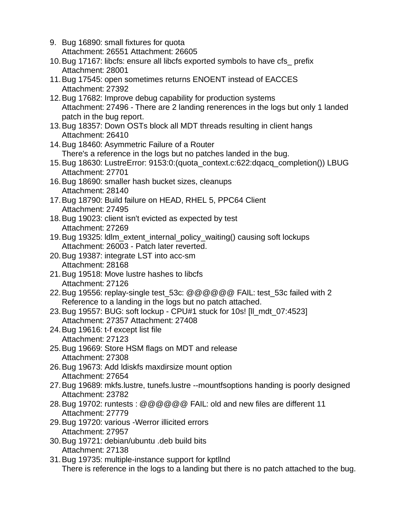9. Bug 16890: small fixtures for quota Attachment: 26551 Attachment: 26605 10.Bug 17167: libcfs: ensure all libcfs exported symbols to have cfs\_ prefix Attachment: 28001 11.Bug 17545: open sometimes returns ENOENT instead of EACCES Attachment: 27392 12.Bug 17682: Improve debug capability for production systems Attachment: 27496 - There are 2 landing renerences in the logs but only 1 landed patch in the bug report. 13.Bug 18357: Down OSTs block all MDT threads resulting in client hangs Attachment: 26410 14.Bug 18460: Asymmetric Failure of a Router There's a reference in the logs but no patches landed in the bug. 15.Bug 18630: LustreError: 9153:0:(quota\_context.c:622:dqacq\_completion()) LBUG Attachment: 27701 16.Bug 18690: smaller hash bucket sizes, cleanups Attachment: 28140 17.Bug 18790: Build failure on HEAD, RHEL 5, PPC64 Client Attachment: 27495 18.Bug 19023: client isn't evicted as expected by test Attachment: 27269 19.Bug 19325: ldlm\_extent\_internal\_policy\_waiting() causing soft lockups Attachment: 26003 - Patch later reverted. 20.Bug 19387: integrate LST into acc-sm Attachment: 28168 21.Bug 19518: Move lustre hashes to libcfs Attachment: 27126 22.Bug 19556: replay-single test\_53c: @@@@@@ FAIL: test\_53c failed with 2 Reference to a landing in the logs but no patch attached. 23.Bug 19557: BUG: soft lockup - CPU#1 stuck for 10s! [ll\_mdt\_07:4523] Attachment: 27357 Attachment: 27408 24.Bug 19616: t-f except list file Attachment: 27123 25.Bug 19669: Store HSM flags on MDT and release Attachment: 27308 26.Bug 19673: Add ldiskfs maxdirsize mount option Attachment: 27654 27.Bug 19689: mkfs.lustre, tunefs.lustre --mountfsoptions handing is poorly designed Attachment: 23782 28.Bug 19702: runtests : @@@@@@ FAIL: old and new files are different 11 Attachment: 27779 29.Bug 19720: various -Werror illicited errors Attachment: 27957 30.Bug 19721: debian/ubuntu .deb build bits Attachment: 27138 31.Bug 19735: multiple-instance support for kptllnd There is reference in the logs to a landing but there is no patch attached to the bug.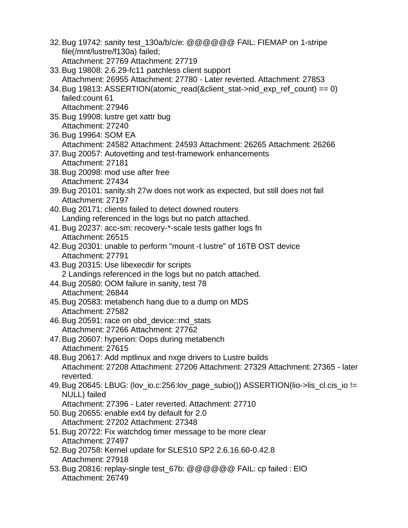- 32.Bug 19742: sanity test\_130a/b/c/e: @@@@@@ FAIL: FIEMAP on 1-stripe file(/mnt/lustre/f130a) failed; Attachment: 27769 Attachment: 27719
- 33.Bug 19808: 2.6.29-fc11 patchless client support Attachment: 26955 Attachment: 27780 - Later reverted. Attachment: 27853
- 34. Bug 19813: ASSERTION(atomic\_read(&client\_stat->nid\_exp\_ref\_count) == 0) failed:count 61 Attachment: 27946
- 35.Bug 19908: lustre get xattr bug Attachment: 27240
- 36.Bug 19964: SOM EA Attachment: 24582 Attachment: 24593 Attachment: 26265 Attachment: 26266
- 37.Bug 20057: Autovetting and test-framework enhancements Attachment: 27181
- 38.Bug 20098: mod use after free Attachment: 27434
- 39.Bug 20101: sanity.sh 27w does not work as expected, but still does not fail Attachment: 27197
- 40.Bug 20171: clients failed to detect downed routers Landing referenced in the logs but no patch attached.
- 41.Bug 20237: acc-sm: recovery-\*-scale tests gather logs fn Attachment: 26515
- 42.Bug 20301: unable to perform "mount -t lustre" of 16TB OST device Attachment: 27791
- 43.Bug 20315: Use libexecdir for scripts 2 Landings referenced in the logs but no patch attached.
- 44.Bug 20580: OOM failure in sanity, test 78 Attachment: 26844
- 45.Bug 20583: metabench hang due to a dump on MDS Attachment: 27582
- 46.Bug 20591: race on obd\_device::md\_stats Attachment: 27266 Attachment: 27762
- 47.Bug 20607: hyperion: Oops during metabench Attachment: 27615
- 48.Bug 20617: Add mptlinux and nxge drivers to Lustre builds Attachment: 27208 Attachment: 27206 Attachment: 27329 Attachment: 27365 - later reverted.
- 49. Bug 20645: LBUG: (lov io.c:256:lov page subio()) ASSERTION(lio->lis cl.cis io != NULL) failed
	- Attachment: 27396 Later reverted. Attachment: 27710
- 50.Bug 20655: enable ext4 by default for 2.0 Attachment: 27202 Attachment: 27348
- 51.Bug 20722: Fix watchdog timer message to be more clear Attachment: 27497
- 52.Bug 20758: Kernel update for SLES10 SP2 2.6.16.60-0.42.8 Attachment: 27918
- 53.Bug 20816: replay-single test\_67b: @@@@@@ FAIL: cp failed : EIO Attachment: 26749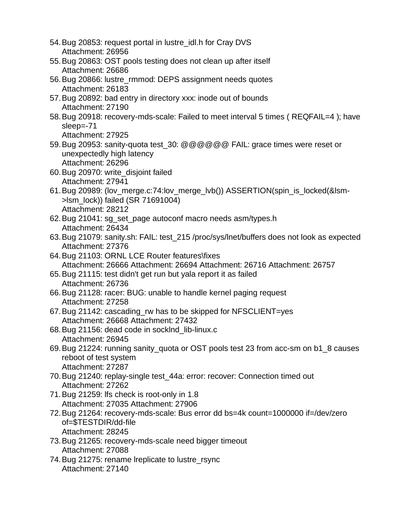54.Bug 20853: request portal in lustre\_idl.h for Cray DVS Attachment: 26956 55.Bug 20863: OST pools testing does not clean up after itself Attachment: 26686 56.Bug 20866: lustre\_rmmod: DEPS assignment needs quotes Attachment: 26183 57.Bug 20892: bad entry in directory xxx: inode out of bounds Attachment: 27190 58.Bug 20918: recovery-mds-scale: Failed to meet interval 5 times ( REQFAIL=4 ); have sleep=-71 Attachment: 27925 59. Bug 20953: sanity-quota test 30: @@@@@@ FAIL: grace times were reset or unexpectedly high latency Attachment: 26296 60.Bug 20970: write\_disjoint failed Attachment: 27941 61.Bug 20989: (lov\_merge.c:74:lov\_merge\_lvb()) ASSERTION(spin\_is\_locked(&lsm- >lsm\_lock)) failed (SR 71691004) Attachment: 28212 62.Bug 21041: sg\_set\_page autoconf macro needs asm/types.h Attachment: 26434 63.Bug 21079: sanity.sh: FAIL: test\_215 /proc/sys/lnet/buffers does not look as expected Attachment: 27376 64.Bug 21103: ORNL LCE Router features\fixes Attachment: 26666 Attachment: 26694 Attachment: 26716 Attachment: 26757 65.Bug 21115: test didn't get run but yala report it as failed Attachment: 26736 66.Bug 21128: racer: BUG: unable to handle kernel paging request Attachment: 27258 67.Bug 21142: cascading\_rw has to be skipped for NFSCLIENT=yes Attachment: 26668 Attachment: 27432 68.Bug 21156: dead code in socklnd\_lib-linux.c Attachment: 26945 69.Bug 21224: running sanity\_quota or OST pools test 23 from acc-sm on b1\_8 causes reboot of test system Attachment: 27287 70.Bug 21240: replay-single test\_44a: error: recover: Connection timed out Attachment: 27262 71.Bug 21259: lfs check is root-only in 1.8 Attachment: 27035 Attachment: 27906 72.Bug 21264: recovery-mds-scale: Bus error dd bs=4k count=1000000 if=/dev/zero of=\$TESTDIR/dd-file Attachment: 28245 73.Bug 21265: recovery-mds-scale need bigger timeout Attachment: 27088 74.Bug 21275: rename lreplicate to lustre\_rsync Attachment: 27140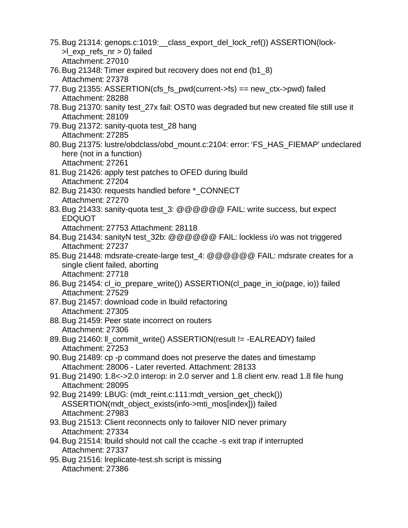- 75.Bug 21314: genops.c:1019:\_\_class\_export\_del\_lock\_ref()) ASSERTION(lock-  $>l$  exp refs  $nr > 0$ ) failed Attachment: 27010
- 76.Bug 21348: Timer expired but recovery does not end (b1\_8) Attachment: 27378
- 77. Bug 21355: ASSERTION(cfs fs  $pwd(current > fs) == new ctx > pwd)$  failed Attachment: 28288
- 78.Bug 21370: sanity test\_27x fail: OST0 was degraded but new created file still use it Attachment: 28109
- 79.Bug 21372: sanity-quota test\_28 hang Attachment: 27285
- 80.Bug 21375: lustre/obdclass/obd\_mount.c:2104: error: 'FS\_HAS\_FIEMAP' undeclared here (not in a function) Attachment: 27261
- 81.Bug 21426: apply test patches to OFED during lbuild Attachment: 27204
- 82. Bug 21430: requests handled before \* CONNECT Attachment: 27270
- 83.Bug 21433: sanity-quota test\_3: @@@@@@ FAIL: write success, but expect EDQUOT
	- Attachment: 27753 Attachment: 28118
- 84.Bug 21434: sanityN test\_32b: @@@@@@ FAIL: lockless i/o was not triggered Attachment: 27237
- 85.Bug 21448: mdsrate-create-large test\_4: @@@@@@ FAIL: mdsrate creates for a single client failed, aborting Attachment: 27718
- 86. Bug 21454: cl\_io\_prepare\_write()) ASSERTION(cl\_page\_in\_io(page, io)) failed Attachment: 27529
- 87.Bug 21457: download code in lbuild refactoring Attachment: 27305
- 88.Bug 21459: Peer state incorrect on routers Attachment: 27306
- 89.Bug 21460: ll\_commit\_write() ASSERTION(result != -EALREADY) failed Attachment: 27253
- 90.Bug 21489: cp -p command does not preserve the dates and timestamp Attachment: 28006 - Later reverted. Attachment: 28133
- 91.Bug 21490: 1.8<->2.0 interop: in 2.0 server and 1.8 client env. read 1.8 file hung Attachment: 28095
- 92. Bug 21499: LBUG: (mdt reint.c:111: mdt version\_get\_check()) ASSERTION(mdt\_object\_exists(info->mti\_mos[index])) failed Attachment: 27983
- 93.Bug 21513: Client reconnects only to failover NID never primary Attachment: 27334
- 94.Bug 21514: lbuild should not call the ccache -s exit trap if interrupted Attachment: 27337
- 95.Bug 21516: lreplicate-test.sh script is missing Attachment: 27386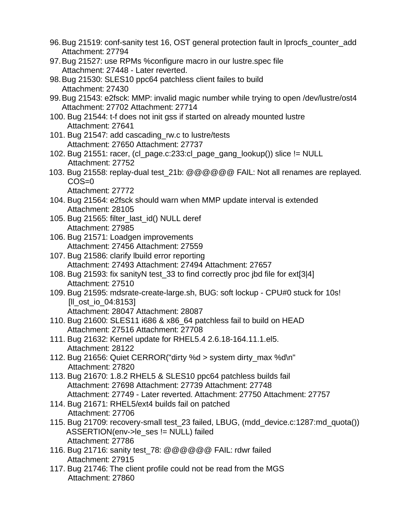- 96.Bug 21519: conf-sanity test 16, OST general protection fault in lprocfs\_counter\_add Attachment: 27794
- 97.Bug 21527: use RPMs %configure macro in our lustre.spec file Attachment: 27448 - Later reverted.
- 98.Bug 21530: SLES10 ppc64 patchless client failes to build Attachment: 27430
- 99.Bug 21543: e2fsck: MMP: invalid magic number while trying to open /dev/lustre/ost4 Attachment: 27702 Attachment: 27714
- 100. Bug 21544: t-f does not init gss if started on already mounted lustre Attachment: 27641
- 101. Bug 21547: add cascading\_rw.c to lustre/tests Attachment: 27650 Attachment: 27737
- 102. Bug 21551: racer, (cl\_page.c:233:cl\_page\_gang\_lookup()) slice != NULL Attachment: 27752
- 103. Bug 21558: replay-dual test\_21b: @@@@@@ FAIL: Not all renames are replayed. COS=0 Attachment: 27772
- 104. Bug 21564: e2fsck should warn when MMP update interval is extended Attachment: 28105
- 105. Bug 21565: filter\_last\_id() NULL deref Attachment: 27985
- 106. Bug 21571: Loadgen improvements Attachment: 27456 Attachment: 27559
- 107. Bug 21586: clarify lbuild error reporting Attachment: 27493 Attachment: 27494 Attachment: 27657
- 108. Bug 21593: fix sanityN test\_33 to find correctly proc jbd file for ext[3|4] Attachment: 27510
- 109. Bug 21595: mdsrate-create-large.sh, BUG: soft lockup CPU#0 stuck for 10s! [ll\_ost\_io\_04:8153] Attachment: 28047 Attachment: 28087
- 110. Bug 21600: SLES11 i686 & x86\_64 patchless fail to build on HEAD Attachment: 27516 Attachment: 27708
- 111. Bug 21632: Kernel update for RHEL5.4 2.6.18-164.11.1.el5. Attachment: 28122
- 112. Bug 21656: Quiet CERROR("dirty %d > system dirty\_max %d\n" Attachment: 27820
- 113. Bug 21670: 1.8.2 RHEL5 & SLES10 ppc64 patchless builds fail Attachment: 27698 Attachment: 27739 Attachment: 27748 Attachment: 27749 - Later reverted. Attachment: 27750 Attachment: 27757
- 114. Bug 21671: RHEL5/ext4 builds fail on patched Attachment: 27706
- 115. Bug 21709: recovery-small test\_23 failed, LBUG, (mdd\_device.c:1287:md\_quota()) ASSERTION(env->le\_ses != NULL) failed Attachment: 27786
- 116. Bug 21716: sanity test\_78: @@@@@@ FAIL: rdwr failed Attachment: 27915
- 117. Bug 21746: The client profile could not be read from the MGS Attachment: 27860